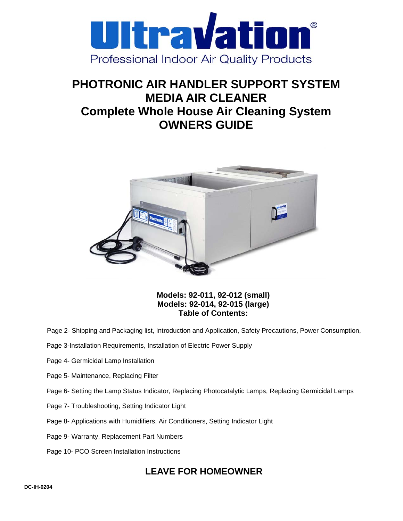

# **PHOTRONIC AIR HANDLER SUPPORT SYSTEM MEDIA AIR CLEANER Complete Whole House Air Cleaning System OWNERS GUIDE**



**Models: 92-011, 92-012 (small) Models: 92-014, 92-015 (large) Table of Contents:** 

- Page 2- Shipping and Packaging list, Introduction and Application, Safety Precautions, Power Consumption,
- Page 3-Installation Requirements, Installation of Electric Power Supply
- Page 4- Germicidal Lamp Installation
- Page 5- Maintenance, Replacing Filter
- Page 6- Setting the Lamp Status Indicator, Replacing Photocatalytic Lamps, Replacing Germicidal Lamps
- Page 7- Troubleshooting, Setting Indicator Light
- Page 8- Applications with Humidifiers, Air Conditioners, Setting Indicator Light
- Page 9- Warranty, Replacement Part Numbers
- Page 10- PCO Screen Installation Instructions

## **LEAVE FOR HOMEOWNER**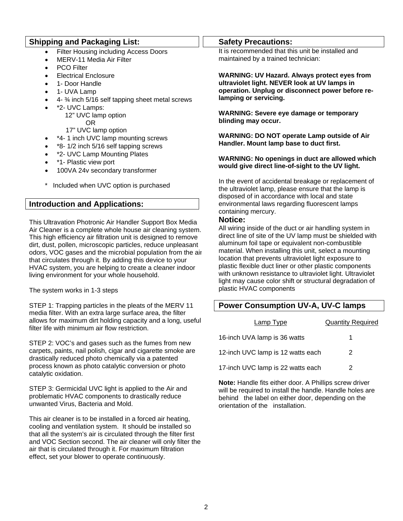### **Shipping and Packaging List:**

- **Filter Housing including Access Doors**
- MERV-11 Media Air Filter
- PCO Filter
- Electrical Enclosure
- 1- Door Handle
- 1- UVA Lamp
- 4- ¾ inch 5/16 self tapping sheet metal screws
- \*2- UVC Lamps:
	- 12" UVC lamp option OR
	- 17" UVC lamp option
- \*4- 1 inch UVC lamp mounting screws
- \*8- 1/2 inch 5/16 self tapping screws
- \*2- UVC Lamp Mounting Plates
- \*1- Plastic view port
- 100VA 24v secondary transformer
- Included when UVC option is purchased

## **Introduction and Applications:**

This Ultravation Photronic Air Handler Support Box Media Air Cleaner is a complete whole house air cleaning system. This high efficiency air filtration unit is designed to remove dirt, dust, pollen, microscopic particles, reduce unpleasant odors, VOC gases and the microbial population from the air that circulates through it. By adding this device to your HVAC system, you are helping to create a cleaner indoor living environment for your whole household.

The system works in 1-3 steps

STEP 1: Trapping particles in the pleats of the MERV 11 media filter. With an extra large surface area, the filter allows for maximum dirt holding capacity and a long, useful filter life with minimum air flow restriction.

STEP 2: VOC's and gases such as the fumes from new carpets, paints, nail polish, cigar and cigarette smoke are drastically reduced photo chemically via a patented process known as photo catalytic conversion or photo catalytic oxidation.

STEP 3: Germicidal UVC light is applied to the Air and problematic HVAC components to drastically reduce unwanted Virus, Bacteria and Mold.

This air cleaner is to be installed in a forced air heating, cooling and ventilation system. It should be installed so that all the system's air is circulated through the filter first and VOC Section second. The air cleaner will only filter the air that is circulated through it. For maximum filtration effect, set your blower to operate continuously.

#### **Safety Precautions:**

It is recommended that this unit be installed and maintained by a trained technician:

**WARNING: UV Hazard. Always protect eyes from ultraviolet light. NEVER look at UV lamps in operation. Unplug or disconnect power before relamping or servicing.** 

**WARNING: Severe eye damage or temporary blinding may occur.** 

**WARNING: DO NOT operate Lamp outside of Air Handler. Mount lamp base to duct first.** 

#### **WARNING: No openings in duct are allowed which would give direct line-of-sight to the UV light.**

In the event of accidental breakage or replacement of the ultraviolet lamp, please ensure that the lamp is disposed of in accordance with local and state environmental laws regarding fluorescent lamps containing mercury.

#### **Notice:**

All wiring inside of the duct or air handling system in direct line of site of the UV lamp must be shielded with aluminum foil tape or equivalent non-combustible material. When installing this unit, select a mounting location that prevents ultraviolet light exposure to plastic flexible duct liner or other plastic components with unknown resistance to ultraviolet light. Ultraviolet light may cause color shift or structural degradation of plastic HVAC components

## **Power Consumption UV-A, UV-C lamps**

| Lamp Type                         | <b>Quantity Required</b> |
|-----------------------------------|--------------------------|
| 16-inch UVA lamp is 36 watts      |                          |
| 12-inch UVC lamp is 12 watts each | 2                        |
| 17-inch UVC lamp is 22 watts each | 2                        |

**Note:** Handle fits either door. A Phillips screw driver will be required to install the handle. Handle holes are behind the label on either door, depending on the orientation of the installation.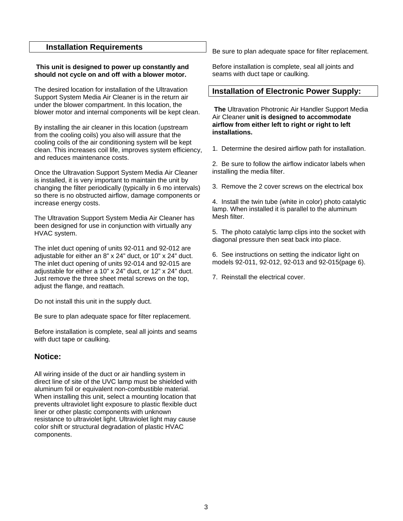#### **Installation Requirements**

#### **This unit is designed to power up constantly and should not cycle on and off with a blower motor.**

The desired location for installation of the Ultravation Support System Media Air Cleaner is in the return air under the blower compartment. In this location, the blower motor and internal components will be kept clean.

By installing the air cleaner in this location (upstream from the cooling coils) you also will assure that the cooling coils of the air conditioning system will be kept clean. This increases coil life, improves system efficiency, and reduces maintenance costs.

Once the Ultravation Support System Media Air Cleaner is installed, it is very important to maintain the unit by changing the filter periodically (typically in 6 mo intervals) so there is no obstructed airflow, damage components or increase energy costs.

The Ultravation Support System Media Air Cleaner has been designed for use in conjunction with virtually any HVAC system.

The inlet duct opening of units 92-011 and 92-012 are adjustable for either an 8" x 24" duct, or 10" x 24" duct. The inlet duct opening of units 92-014 and 92-015 are adjustable for either a 10" x 24" duct, or 12" x 24" duct. Just remove the three sheet metal screws on the top, adjust the flange, and reattach.

Do not install this unit in the supply duct.

Be sure to plan adequate space for filter replacement.

Before installation is complete, seal all joints and seams with duct tape or caulking.

## **Notice:**

All wiring inside of the duct or air handling system in direct line of site of the UVC lamp must be shielded with aluminum foil or equivalent non-combustible material. When installing this unit, select a mounting location that prevents ultraviolet light exposure to plastic flexible duct liner or other plastic components with unknown resistance to ultraviolet light. Ultraviolet light may cause color shift or structural degradation of plastic HVAC components.

Be sure to plan adequate space for filter replacement.

Before installation is complete, seal all joints and seams with duct tape or caulking.

#### **Installation of Electronic Power Supply:**

 **The** Ultravation Photronic Air Handler Support Media Air Cleaner **unit is designed to accommodate airflow from either left to right or right to left installations.** 

1. Determine the desired airflow path for installation.

2. Be sure to follow the airflow indicator labels when installing the media filter.

3. Remove the 2 cover screws on the electrical box

4. Install the twin tube (white in color) photo catalytic lamp. When installed it is parallel to the aluminum Mesh filter.

5. The photo catalytic lamp clips into the socket with diagonal pressure then seat back into place.

6. See instructions on setting the indicator light on models 92-011, 92-012, 92-013 and 92-015(page 6).

7. Reinstall the electrical cover.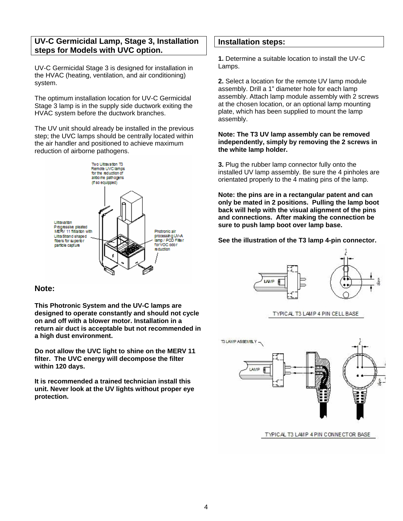## **UV-C Germicidal Lamp, Stage 3, Installation steps for Models with UVC option.**

UV-C Germicidal Stage 3 is designed for installation in the HVAC (heating, ventilation, and air conditioning) system.

The optimum installation location for UV-C Germicidal Stage 3 lamp is in the supply side ductwork exiting the HVAC system before the ductwork branches.

The UV unit should already be installed in the previous step; the UVC lamps should be centrally located within the air handler and positioned to achieve maximum reduction of airborne pathogens.



#### **Note:**

**This Photronic System and the UV-C lamps are designed to operate constantly and should not cycle on and off with a blower motor. Installation in a return air duct is acceptable but not recommended in a high dust environment.** 

**Do not allow the UVC light to shine on the MERV 11 filter. The UVC energy will decompose the filter within 120 days.** 

**It is recommended a trained technician install this unit. Never look at the UV lights without proper eye protection.**

#### **Installation steps:**

**1.** Determine a suitable location to install the UV-C Lamps.

**2.** Select a location for the remote UV lamp module assembly. Drill a 1" diameter hole for each lamp assembly. Attach lamp module assembly with 2 screws at the chosen location, or an optional lamp mounting plate, which has been supplied to mount the lamp assembly.

#### **Note: The T3 UV lamp assembly can be removed independently, simply by removing the 2 screws in the white lamp holder.**

**3.** Plug the rubber lamp connector fully onto the installed UV lamp assembly. Be sure the 4 pinholes are orientated properly to the 4 mating pins of the lamp.

**Note: the pins are in a rectangular patent and can only be mated in 2 positions. Pulling the lamp boot back will help with the visual alignment of the pins and connections. After making the connection be sure to push lamp boot over lamp base.** 

#### **See the illustration of the T3 lamp 4-pin connector.**



#### TYPICAL T3 LAMP 4 PIN CELL BASE



TYPICAL T3 LAMP 4 PIN CONNECTOR BASE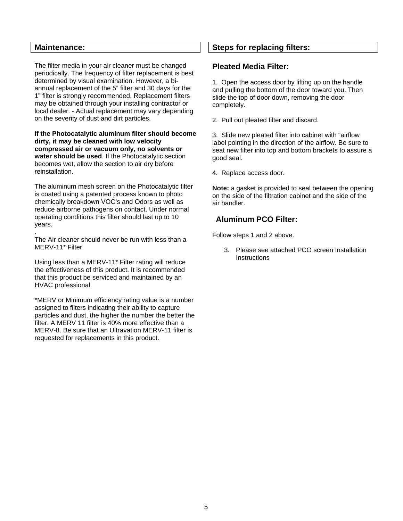#### **Maintenance:**

The filter media in your air cleaner must be changed periodically. The frequency of filter replacement is best determined by visual examination. However, a biannual replacement of the 5" filter and 30 days for the 1" filter is strongly recommended. Replacement filters may be obtained through your installing contractor or local dealer. - Actual replacement may vary depending on the severity of dust and dirt particles.

**If the Photocatalytic aluminum filter should become dirty, it may be cleaned with low velocity compressed air or vacuum only, no solvents or water should be used**. If the Photocatalytic section becomes wet, allow the section to air dry before reinstallation.

The aluminum mesh screen on the Photocatalytic filter is coated using a patented process known to photo chemically breakdown VOC's and Odors as well as reduce airborne pathogens on contact. Under normal operating conditions this filter should last up to 10 years.

. The Air cleaner should never be run with less than a MERV-11\* Filter.

Using less than a MERV-11\* Filter rating will reduce the effectiveness of this product. It is recommended that this product be serviced and maintained by an HVAC professional.

\*MERV or Minimum efficiency rating value is a number assigned to filters indicating their ability to capture particles and dust, the higher the number the better the filter. A MERV 11 filter is 40% more effective than a MERV-8. Be sure that an Ultravation MERV-11 filter is requested for replacements in this product.

## **Steps for replacing filters:**

## **Pleated Media Filter:**

1. Open the access door by lifting up on the handle and pulling the bottom of the door toward you. Then slide the top of door down, removing the door completely.

2. Pull out pleated filter and discard.

3. Slide new pleated filter into cabinet with "airflow label pointing in the direction of the airflow. Be sure to seat new filter into top and bottom brackets to assure a good seal.

4. Replace access door.

**Note:** a gasket is provided to seal between the opening on the side of the filtration cabinet and the side of the air handler.

## **Aluminum PCO Filter:**

Follow steps 1 and 2 above.

3. Please see attached PCO screen Installation **Instructions**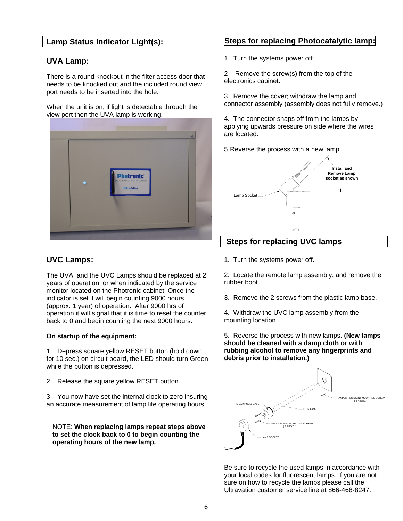## **Lamp Status Indicator Light(s):**

## **UVA Lamp:**

There is a round knockout in the filter access door that needs to be knocked out and the included round view port needs to be inserted into the hole.

When the unit is on, if light is detectable through the view port then the UVA lamp is working.



## **UVC Lamps:**

The UVA and the UVC Lamps should be replaced at 2 years of operation, or when indicated by the service monitor located on the Photronic cabinet. Once the indicator is set it will begin counting 9000 hours (approx. 1 year) of operation. After 9000 hrs of operation it will signal that it is time to reset the counter back to 0 and begin counting the next 9000 hours.

#### **On startup of the equipment:**

1. Depress square yellow RESET button (hold down for 10 sec.) on circuit board, the LED should turn Green while the button is depressed.

2. Release the square yellow RESET button.

3. You now have set the internal clock to zero insuring an accurate measurement of lamp life operating hours.

NOTE: **When replacing lamps repeat steps above to set the clock back to 0 to begin counting the operating hours of the new lamp.**

## **Steps for replacing Photocatalytic lamp:**

1. Turn the systems power off.

2 Remove the screw(s) from the top of the electronics cabinet.

3. Remove the cover; withdraw the lamp and connector assembly (assembly does not fully remove.)

4. The connector snaps off from the lamps by applying upwards pressure on side where the wires are located.

5. Reverse the process with a new lamp.



## **Steps for replacing UVC lamps**

1. Turn the systems power off.

2. Locate the remote lamp assembly, and remove the rubber boot.

3. Remove the 2 screws from the plastic lamp base.

4. Withdraw the UVC lamp assembly from the mounting location.

5. Reverse the process with new lamps. **(New lamps should be cleaned with a damp cloth or with rubbing alcohol to remove any fingerprints and debris prior to installation.)** 



Be sure to recycle the used lamps in accordance with your local codes for fluorescent lamps. If you are not sure on how to recycle the lamps please call the Ultravation customer service line at 866-468-8247.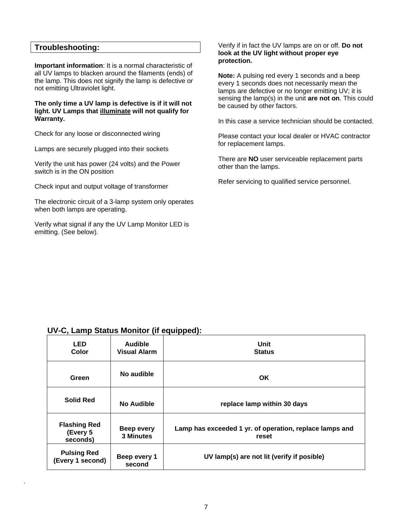#### **Troubleshooting:**

.

**Important information**: It is a normal characteristic of all UV lamps to blacken around the filaments (ends) of the lamp. This does not signify the lamp is defective or not emitting Ultraviolet light.

**The only time a UV lamp is defective is if it will not light. UV Lamps that illuminate will not qualify for Warranty.**

Check for any loose or disconnected wiring

Lamps are securely plugged into their sockets

Verify the unit has power (24 volts) and the Power switch is in the ON position

Check input and output voltage of transformer

The electronic circuit of a 3-lamp system only operates when both lamps are operating.

Verify what signal if any the UV Lamp Monitor LED is emitting. (See below).

#### Verify if in fact the UV lamps are on or off. **Do not look at the UV light without proper eye protection.**

**Note:** A pulsing red every 1 seconds and a beep every 1 seconds does not necessarily mean the lamps are defective or no longer emitting UV; it is sensing the lamp(s) in the unit **are not on**. This could be caused by other factors.

In this case a service technician should be contacted.

Please contact your local dealer or HVAC contractor for replacement lamps.

There are **NO** user serviceable replacement parts other than the lamps.

Refer servicing to qualified service personnel.

## **UV-C, Lamp Status Monitor (if equipped):**

| <b>LED</b><br>Color                         | <b>Audible</b><br><b>Visual Alarm</b> | Unit<br><b>Status</b>                                            |
|---------------------------------------------|---------------------------------------|------------------------------------------------------------------|
| Green                                       | No audible                            | <b>OK</b>                                                        |
| <b>Solid Red</b>                            | No Audible                            | replace lamp within 30 days                                      |
| <b>Flashing Red</b><br>(Every 5<br>seconds) | <b>Beep every</b><br>3 Minutes        | Lamp has exceeded 1 yr. of operation, replace lamps and<br>reset |
| <b>Pulsing Red</b><br>(Every 1 second)      | Beep every 1<br>second                | UV lamp(s) are not lit (verify if posible)                       |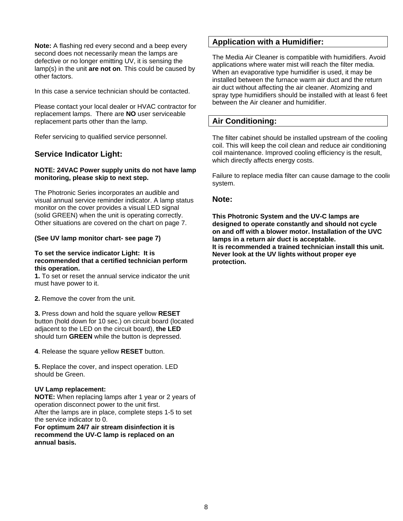**Note:** A flashing red every second and a beep every second does not necessarily mean the lamps are defective or no longer emitting UV, it is sensing the lamp(s) in the unit **are not on**. This could be caused by other factors.

In this case a service technician should be contacted.

Please contact your local dealer or HVAC contractor for replacement lamps. There are **NO** user serviceable replacement parts other than the lamp.

Refer servicing to qualified service personnel.

## **Service Indicator Light:**

#### **NOTE: 24VAC Power supply units do not have lamp monitoring, please skip to next step.**

The Photronic Series incorporates an audible and visual annual service reminder indicator. A lamp status monitor on the cover provides a visual LED signal (solid GREEN) when the unit is operating correctly. Other situations are covered on the chart on page 7.

#### **(See UV lamp monitor chart- see page 7)**

#### **To set the service indicator Light: It is recommended that a certified technician perform this operation.**

**1.** To set or reset the annual service indicator the unit must have power to it.

**2.** Remove the cover from the unit.

**3.** Press down and hold the square yellow **RESET** button (hold down for 10 sec.) on circuit board (located adjacent to the LED on the circuit board), **the LED** should turn **GREEN** while the button is depressed.

**4**. Release the square yellow **RESET** button.

**5.** Replace the cover, and inspect operation. LED should be Green.

#### **UV Lamp replacement:**

**NOTE:** When replacing lamps after 1 year or 2 years of operation disconnect power to the unit first. After the lamps are in place, complete steps 1-5 to set the service indicator to 0.

**For optimum 24/7 air stream disinfection it is recommend the UV-C lamp is replaced on an annual basis.** 

## **Application with a Humidifier:**

The Media Air Cleaner is compatible with humidifiers. Avoid applications where water mist will reach the filter media. When an evaporative type humidifier is used, it may be installed between the furnace warm air duct and the return air duct without affecting the air cleaner. Atomizing and spray type humidifiers should be installed with at least 6 feet between the Air cleaner and humidifier.

## **Air Conditioning:**

The filter cabinet should be installed upstream of the cooling coil. This will keep the coil clean and reduce air conditioning coil maintenance. Improved cooling efficiency is the result, which directly affects energy costs.

Failure to replace media filter can cause damage to the coolin system.

#### **Note:**

**This Photronic System and the UV-C lamps are designed to operate constantly and should not cycle on and off with a blower motor. Installation of the UVC lamps in a return air duct is acceptable. It is recommended a trained technician install this unit. Never look at the UV lights without proper eye protection.**